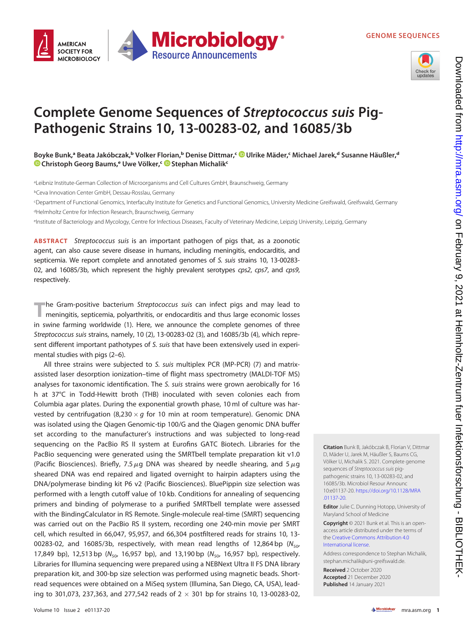GENOME SEQUENCES



## Complete Genome Sequences of Streptococcus suis Pig-Pathogenic Strains 10, 13-00283-02, and 16085/3b

Boyke Bunk,ª Beata Jakóbczak,ʰ Volker Florian,ʰ Denise Dittmar,ˤ ◙ [Ulrike Mäder,](https://orcid.org/0000-0003-2873-0999)ˤ Michael Jarek,ª Susanne Häußler,ª [Christoph Georg Baums,](https://orcid.org/0000-0001-9149-1615)<sup>e</sup> Uwe Völker,<sup>c in</sup> [Stephan Michalik](https://orcid.org/0000-0002-6550-0132)<sup>c</sup>

a Leibniz Institute-German Collection of Microorganisms and Cell Cultures GmbH, Braunschweig, Germany bCeva Innovation Center GmbH, Dessau-Rosslau, Germany

cDepartment of Functional Genomics, Interfaculty Institute for Genetics and Functional Genomics, University Medicine Greifswald, Greifswald, Germany dHelmholtz Centre for Infection Research, Braunschweig, Germany

eInstitute of Bacteriology and Mycology, Centre for Infectious Diseases, Faculty of Veterinary Medicine, Leipzig University, Leipzig, Germany

ABSTRACT Streptococcus suis is an important pathogen of pigs that, as a zoonotic agent, can also cause severe disease in humans, including meningitis, endocarditis, and septicemia. We report complete and annotated genomes of S. suis strains 10, 13-00283- 02, and 16085/3b, which represent the highly prevalent serotypes cps2, cps7, and cps9, respectively.

The Gram-positive bacterium *Streptococcus suis* can infect pigs and may lead to meningitis, septicemia, polyarthritis, or endocarditis and thus large economic losses in swine farming worldwide [\(1\)](#page-2-0). Here, we announce the complete genomes of three Streptococcus suis strains, namely, 10 ([2](#page-2-1)), 13-00283-02 ([3](#page-2-2)), and 16085/3b ([4](#page-2-3)), which represent different important pathotypes of S. suis that have been extensively used in experimental studies with pigs [\(2](#page-2-1)–[6\)](#page-2-4).

All three strains were subjected to S. suis multiplex PCR (MP-PCR) ([7](#page-2-5)) and matrixassisted laser desorption ionization–time of flight mass spectrometry (MALDI-TOF MS) analyses for taxonomic identification. The S. suis strains were grown aerobically for 16 h at 37°C in Todd-Hewitt broth (THB) inoculated with seven colonies each from Columbia agar plates. During the exponential growth phase, 10 ml of culture was harvested by centrifugation (8,230  $\times$  g for 10 min at room temperature). Genomic DNA was isolated using the Qiagen Genomic-tip 100/G and the Qiagen genomic DNA buffer set according to the manufacturer's instructions and was subjected to long-read sequencing on the PacBio RS II system at Eurofins GATC Biotech. Libraries for the PacBio sequencing were generated using the SMRTbell template preparation kit v1.0 (Pacific Biosciences). Briefly, 7.5  $\mu$ g DNA was sheared by needle shearing, and 5  $\mu$ g sheared DNA was end repaired and ligated overnight to hairpin adapters using the DNA/polymerase binding kit P6 v2 (Pacific Biosciences). BluePippin size selection was performed with a length cutoff value of 10 kb. Conditions for annealing of sequencing primers and binding of polymerase to a purified SMRTbell template were assessed with the BindingCalculator in RS Remote. Single-molecule real-time (SMRT) sequencing was carried out on the PacBio RS II system, recording one 240-min movie per SMRT cell, which resulted in 66,047, 95,957, and 66,304 postfiltered reads for strains 10, 13- 00283-02, and 16085/3b, respectively, with mean read lengths of 12,864 bp ( $N_{50}$ , 17,849 bp), 12,513 bp ( $N_{50}$ , 16,957 bp), and 13,190 bp ( $N_{50}$ , 16,957 bp), respectively. Libraries for Illumina sequencing were prepared using a NEBNext Ultra II FS DNA library preparation kit, and 300-bp size selection was performed using magnetic beads. Shortread sequences were obtained on a MiSeq system (Illumina, San Diego, CA, USA), leading to 301,073, 237,363, and 277,542 reads of  $2 \times 301$  bp for strains 10, 13-00283-02,

Citation Bunk B, Jakóbczak B, Florian V, Dittmar D, Mäder U, Jarek M, Häußler S, Baums CG, Völker U, Michalik S. 2021. Complete genome sequences of Streptococcus suis pigpathogenic strains 10, 13-00283-02, and 16085/3b. Microbiol Resour Announc 10:e01137-20. [https://doi.org/10.1128/MRA](https://doi.org/10.1128/MRA.01137-20) [.01137-20](https://doi.org/10.1128/MRA.01137-20).

**Editor** Julie C. Dunning Hotopp, University of Maryland School of Medicine

Copyright © 2021 Bunk et al. This is an openaccess article distributed under the terms of the [Creative Commons Attribution 4.0](https://creativecommons.org/licenses/by/4.0/) [International license](https://creativecommons.org/licenses/by/4.0/).

Address correspondence to Stephan Michalik, [stephan.michalik@uni-greifswald.de](mailto:stephan.michalik@uni-greifswald.de).

Received 2 October 2020 Accepted 21 December 2020 Published 14 January 2021

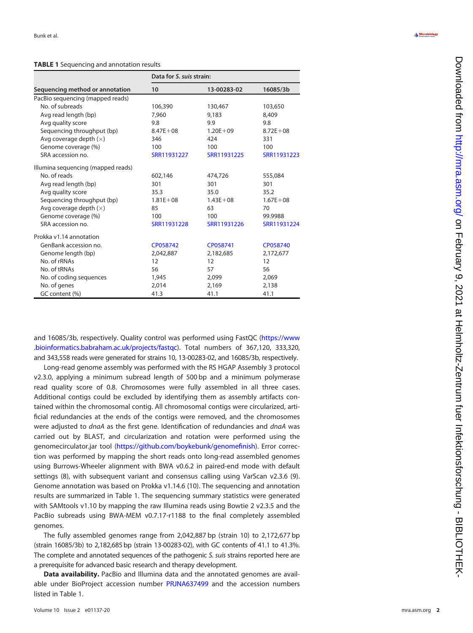## <span id="page-1-0"></span>TABLE 1 Sequencing and annotation results

| Sequencing method or annotation    | Data for S. suis strain: |              |              |
|------------------------------------|--------------------------|--------------|--------------|
|                                    | 10                       | 13-00283-02  | 16085/3b     |
| PacBio sequencing (mapped reads)   |                          |              |              |
| No. of subreads                    | 106,390                  | 130,467      | 103,650      |
| Avg read length (bp)               | 7,960                    | 9,183        | 8,409        |
| Avg quality score                  | 9.8                      | 9.9          | 9.8          |
| Sequencing throughput (bp)         | $8.47E + 08$             | $1.20E + 09$ | $8.72E + 08$ |
| Avg coverage depth $(x)$           | 346                      | 424          | 331          |
| Genome coverage (%)                | 100                      | 100          | 100          |
| SRA accession no.                  | SRR11931227              | SRR11931225  | SRR11931223  |
| Illumina sequencing (mapped reads) |                          |              |              |
| No. of reads                       | 602,146                  | 474,726      | 555,084      |
| Avg read length (bp)               | 301                      | 301          | 301          |
| Avg quality score                  | 35.3                     | 35.0         | 35.2         |
| Sequencing throughput (bp)         | $1.81E + 08$             | $1.43E + 08$ | $1.67E + 08$ |
| Avg coverage depth $(x)$           | 85                       | 63           | 70           |
| Genome coverage (%)                | 100                      | 100          | 99.9988      |
| SRA accession no.                  | SRR11931228              | SRR11931226  | SRR11931224  |
| Prokka v1.14 annotation            |                          |              |              |
| GenBank accession no.              | CP058742                 | CP058741     | CP058740     |
| Genome length (bp)                 | 2,042,887                | 2,182,685    | 2,172,677    |
| No. of rRNAs                       | 12                       | 12           | 12           |
| No. of tRNAs                       | 56                       | 57           | 56           |
| No. of coding sequences            | 1,945                    | 2,099        | 2,069        |
| No. of genes                       | 2,014                    | 2,169        | 2,138        |
| GC content (%)                     | 41.3                     | 41.1         | 41.1         |

and 16085/3b, respectively. Quality control was performed using FastQC [\(https://www](https://www.bioinformatics.babraham.ac.uk/projects/fastqc) [.bioinformatics.babraham.ac.uk/projects/fastqc](https://www.bioinformatics.babraham.ac.uk/projects/fastqc)). Total numbers of 367,120, 333,320, and 343,558 reads were generated for strains 10, 13-00283-02, and 16085/3b, respectively.

Long-read genome assembly was performed with the RS HGAP Assembly 3 protocol v2.3.0, applying a minimum subread length of 500 bp and a minimum polymerase read quality score of 0.8. Chromosomes were fully assembled in all three cases. Additional contigs could be excluded by identifying them as assembly artifacts contained within the chromosomal contig. All chromosomal contigs were circularized, arti ficial redundancies at the ends of the contigs were removed, and the chromosomes were adjusted to *dnaA* as the first gene. Identification of redundancies and *dnaA* was carried out by BLAST, and circularization and rotation were performed using the genomecirculator.jar tool [\(https://github.com/boykebunk/genome](https://github.com/boykebunk/genomefinish)finish). Error correction was performed by mapping the short reads onto long-read assembled genomes using Burrows-Wheeler alignment with BWA v0.6.2 in paired-end mode with default settings ([8](#page-2-6)), with subsequent variant and consensus calling using VarScan v2.3.6 ([9\)](#page-2-7). Genome annotation was based on Prokka v1.14.6 [\(10](#page-2-8)). The sequencing and annotation results are summarized in [Table 1.](#page-1-0) The sequencing summary statistics were generated with SAMtools v1.10 by mapping the raw Illumina reads using Bowtie 2 v2.3.5 and the PacBio subreads using BWA-MEM v0.7.17-r1188 to the final completely assembled genomes.

The fully assembled genomes range from 2,042,887 bp (strain 10) to 2,172,677 bp (strain 16085/3b) to 2,182,685 bp (strain 13-00283-02), with GC contents of 41.1 to 41.3%. The complete and annotated sequences of the pathogenic S, suis strains reported here are a prerequisite for advanced basic research and therapy development.

Data availability. PacBio and Illumina data and the annotated genomes are avail-able under BioProject accession number [PRJNA637499](https://www.ncbi.nlm.nih.gov/bioproject/PRJNA637499) and the accession numbers listed in [Table 1](#page-1-0) .